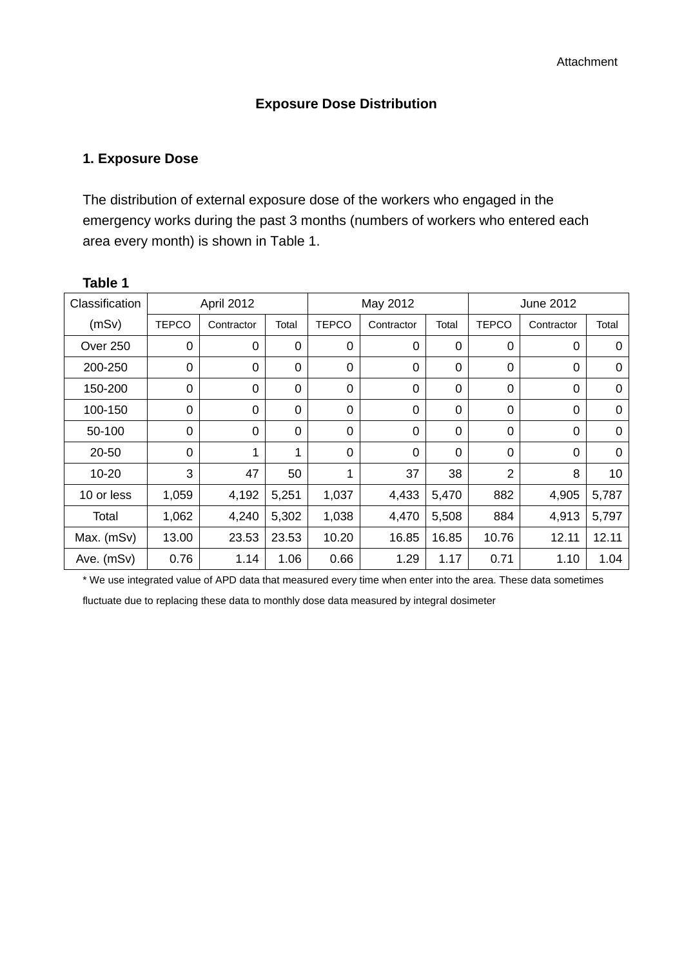#### **Exposure Dose Distribution**

## **1. Exposure Dose**

The distribution of external exposure dose of the workers who engaged in the emergency works during the past 3 months (numbers of workers who entered each area every month) is shown in Table 1.

| Classification | April 2012   |             | May 2012    |              |            | June 2012   |                |             |          |
|----------------|--------------|-------------|-------------|--------------|------------|-------------|----------------|-------------|----------|
| (mSv)          | <b>TEPCO</b> | Contractor  | Total       | <b>TEPCO</b> | Contractor | Total       | <b>TEPCO</b>   | Contractor  | Total    |
| Over 250       | 0            | $\mathbf 0$ | $\mathbf 0$ | 0            | 0          | 0           | 0              | 0           | 0        |
| 200-250        | $\mathbf 0$  | $\mathbf 0$ | $\mathbf 0$ | $\mathbf 0$  | 0          | 0           | 0              | $\mathbf 0$ | $\Omega$ |
| 150-200        | 0            | $\mathbf 0$ | $\mathbf 0$ | $\mathbf 0$  | 0          | 0           | 0              | 0           | 0        |
| 100-150        | 0            | 0           | $\mathbf 0$ | $\mathbf 0$  | 0          | $\mathbf 0$ | 0              | 0           | $\Omega$ |
| 50-100         | 0            | $\mathbf 0$ | $\mathbf 0$ | $\mathbf 0$  | 0          | 0           | 0              | 0           | $\Omega$ |
| 20-50          | 0            | 1           | 1           | $\mathbf 0$  | 0          | 0           | $\mathbf 0$    | $\mathbf 0$ | 0        |
| $10 - 20$      | 3            | 47          | 50          | $\mathbf{1}$ | 37         | 38          | $\overline{2}$ | 8           | 10       |
| 10 or less     | 1,059        | 4,192       | 5,251       | 1,037        | 4,433      | 5,470       | 882            | 4,905       | 5,787    |
| Total          | 1,062        | 4,240       | 5,302       | 1,038        | 4,470      | 5,508       | 884            | 4,913       | 5,797    |
| Max. (mSv)     | 13.00        | 23.53       | 23.53       | 10.20        | 16.85      | 16.85       | 10.76          | 12.11       | 12.11    |
| Ave. (mSv)     | 0.76         | 1.14        | 1.06        | 0.66         | 1.29       | 1.17        | 0.71           | 1.10        | 1.04     |

#### **Table 1**

\* We use integrated value of APD data that measured every time when enter into the area. These data sometimes

fluctuate due to replacing these data to monthly dose data measured by integral dosimeter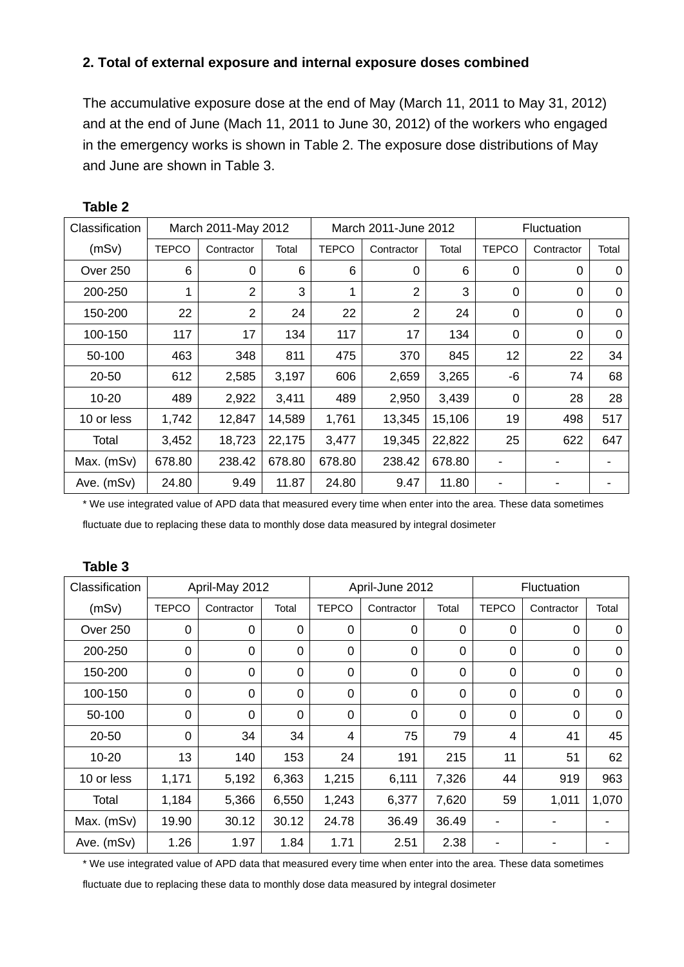## **2. Total of external exposure and internal exposure doses combined**

The accumulative exposure dose at the end of May (March 11, 2011 to May 31, 2012) and at the end of June (Mach 11, 2011 to June 30, 2012) of the workers who engaged in the emergency works is shown in Table 2. The exposure dose distributions of May and June are shown in Table 3.

| Classification | March 2011-May 2012 |                | March 2011-June 2012 |              |                | <b>Fluctuation</b> |              |             |          |
|----------------|---------------------|----------------|----------------------|--------------|----------------|--------------------|--------------|-------------|----------|
| (mSv)          | <b>TEPCO</b>        | Contractor     | Total                | <b>TEPCO</b> | Contractor     | Total              | <b>TEPCO</b> | Contractor  | Total    |
| Over 250       | 6                   | $\mathbf 0$    | 6                    | 6            | 0              | 6                  | 0            | $\mathbf 0$ | 0        |
| 200-250        | 1                   | $\overline{2}$ | 3                    | 1            | $\overline{2}$ | 3                  | 0            | 0           | 0        |
| 150-200        | 22                  | $\overline{2}$ | 24                   | 22           | $\overline{2}$ | 24                 | $\mathbf 0$  | $\mathbf 0$ | $\Omega$ |
| 100-150        | 117                 | 17             | 134                  | 117          | 17             | 134                | $\mathbf 0$  | $\mathbf 0$ | $\Omega$ |
| 50-100         | 463                 | 348            | 811                  | 475          | 370            | 845                | 12           | 22          | 34       |
| 20-50          | 612                 | 2,585          | 3,197                | 606          | 2,659          | 3,265              | -6           | 74          | 68       |
| $10 - 20$      | 489                 | 2,922          | 3,411                | 489          | 2,950          | 3,439              | 0            | 28          | 28       |
| 10 or less     | 1,742               | 12,847         | 14,589               | 1,761        | 13,345         | 15,106             | 19           | 498         | 517      |
| Total          | 3,452               | 18,723         | 22,175               | 3,477        | 19,345         | 22,822             | 25           | 622         | 647      |
| Max. (mSv)     | 678.80              | 238.42         | 678.80               | 678.80       | 238.42         | 678.80             |              |             |          |
| Ave. (mSv)     | 24.80               | 9.49           | 11.87                | 24.80        | 9.47           | 11.80              |              |             |          |

**Table 2** 

\* We use integrated value of APD data that measured every time when enter into the area. These data sometimes

fluctuate due to replacing these data to monthly dose data measured by integral dosimeter

| ט טועוסו       |                |             |                 |                |            |                    |              |            |             |
|----------------|----------------|-------------|-----------------|----------------|------------|--------------------|--------------|------------|-------------|
| Classification | April-May 2012 |             | April-June 2012 |                |            | <b>Fluctuation</b> |              |            |             |
| (mSv)          | <b>TEPCO</b>   | Contractor  | Total           | TEPCO          | Contractor | Total              | <b>TEPCO</b> | Contractor | Total       |
| Over 250       | $\mathbf 0$    | $\mathbf 0$ | 0               | $\mathbf 0$    | 0          | 0                  | 0            | 0          | $\mathbf 0$ |
| 200-250        | $\mathbf 0$    | $\mathbf 0$ | 0               | $\mathbf 0$    | 0          | $\mathbf 0$        | 0            | 0          | 0           |
| 150-200        | $\mathbf 0$    | $\mathbf 0$ | 0               | $\mathbf 0$    | 0          | 0                  | 0            | 0          | 0           |
| 100-150        | $\mathbf 0$    | $\mathbf 0$ | 0               | $\overline{0}$ | 0          | $\mathbf 0$        | 0            | 0          | $\mathbf 0$ |
| 50-100         | $\mathbf 0$    | $\mathbf 0$ | 0               | $\overline{0}$ | 0          | $\mathbf 0$        | 0            | 0          | $\mathbf 0$ |
| 20-50          | $\mathbf 0$    | 34          | 34              | 4              | 75         | 79                 | 4            | 41         | 45          |
| $10 - 20$      | 13             | 140         | 153             | 24             | 191        | 215                | 11           | 51         | 62          |
| 10 or less     | 1,171          | 5,192       | 6,363           | 1,215          | 6,111      | 7,326              | 44           | 919        | 963         |
| Total          | 1,184          | 5,366       | 6,550           | 1,243          | 6,377      | 7,620              | 59           | 1,011      | 1,070       |
| Max. (mSv)     | 19.90          | 30.12       | 30.12           | 24.78          | 36.49      | 36.49              |              |            |             |
| Ave. (mSv)     | 1.26           | 1.97        | 1.84            | 1.71           | 2.51       | 2.38               |              |            |             |

**Table 3** 

\* We use integrated value of APD data that measured every time when enter into the area. These data sometimes

fluctuate due to replacing these data to monthly dose data measured by integral dosimeter